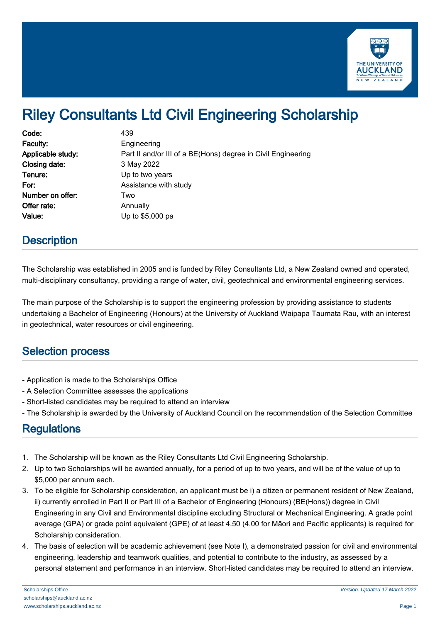

# Riley Consultants Ltd Civil Engineering Scholarship

| Code:             | 439                                                          |
|-------------------|--------------------------------------------------------------|
| Faculty:          | Engineering                                                  |
| Applicable study: | Part II and/or III of a BE(Hons) degree in Civil Engineering |
| Closing date:     | 3 May 2022                                                   |
| Tenure:           | Up to two years                                              |
| For:              | Assistance with study                                        |
| Number on offer:  | Two                                                          |
| Offer rate:       | Annually                                                     |
| Value:            | Up to \$5,000 pa                                             |

# **Description**

The Scholarship was established in 2005 and is funded by Riley Consultants Ltd, a New Zealand owned and operated, multi-disciplinary consultancy, providing a range of water, civil, geotechnical and environmental engineering services.

The main purpose of the Scholarship is to support the engineering profession by providing assistance to students undertaking a Bachelor of Engineering (Honours) at the University of Auckland Waipapa Taumata Rau, with an interest in geotechnical, water resources or civil engineering.

# Selection process

- Application is made to the Scholarships Office
- A Selection Committee assesses the applications
- Short-listed candidates may be required to attend an interview
- The Scholarship is awarded by the University of Auckland Council on the recommendation of the Selection Committee

### **Regulations**

- 1. The Scholarship will be known as the Riley Consultants Ltd Civil Engineering Scholarship.
- 2. Up to two Scholarships will be awarded annually, for a period of up to two years, and will be of the value of up to \$5,000 per annum each.
- 3. To be eligible for Scholarship consideration, an applicant must be i) a citizen or permanent resident of New Zealand, ii) currently enrolled in Part II or Part III of a Bachelor of Engineering (Honours) (BE(Hons)) degree in Civil Engineering in any Civil and Environmental discipline excluding Structural or Mechanical Engineering. A grade point average (GPA) or grade point equivalent (GPE) of at least 4.50 (4.00 for Māori and Pacific applicants) is required for Scholarship consideration.
- 4. The basis of selection will be academic achievement (see Note I), a demonstrated passion for civil and environmental engineering, leadership and teamwork qualities, and potential to contribute to the industry, as assessed by a personal statement and performance in an interview. Short-listed candidates may be required to attend an interview.